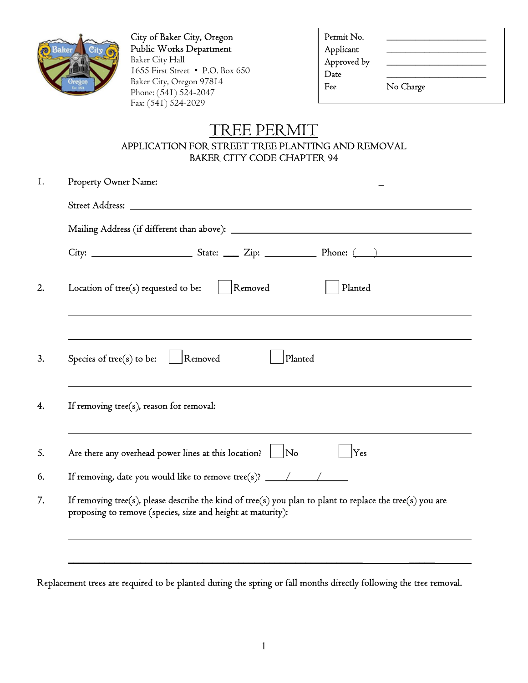

City of Baker City, Oregon Public Works Department Baker City Hall 1655 First Street • P.O. Box 650 Baker City, Oregon 97814 Phone: (541) 524-2047 Fax: (541) 524-2029

| No Charge |  |
|-----------|--|
|           |  |

## TREE PERMIT APPLICATION FOR STREET TREE PLANTING AND REMOVAL BAKER CITY CODE CHAPTER 94

| Removed<br>Planted<br>Location of tree(s) requested to be:                                                                                                               |
|--------------------------------------------------------------------------------------------------------------------------------------------------------------------------|
|                                                                                                                                                                          |
| Removed<br>Planted<br>Species of $tree(s)$ to be:                                                                                                                        |
|                                                                                                                                                                          |
| Are there any overhead power lines at this location?   No<br>Yes                                                                                                         |
| If removing, date you would like to remove tree(s)? ____________________________                                                                                         |
| If removing tree(s), please describe the kind of tree(s) you plan to plant to replace the tree(s) you are<br>proposing to remove (species, size and height at maturity): |

Replacement trees are required to be planted during the spring or fall months directly following the tree removal.